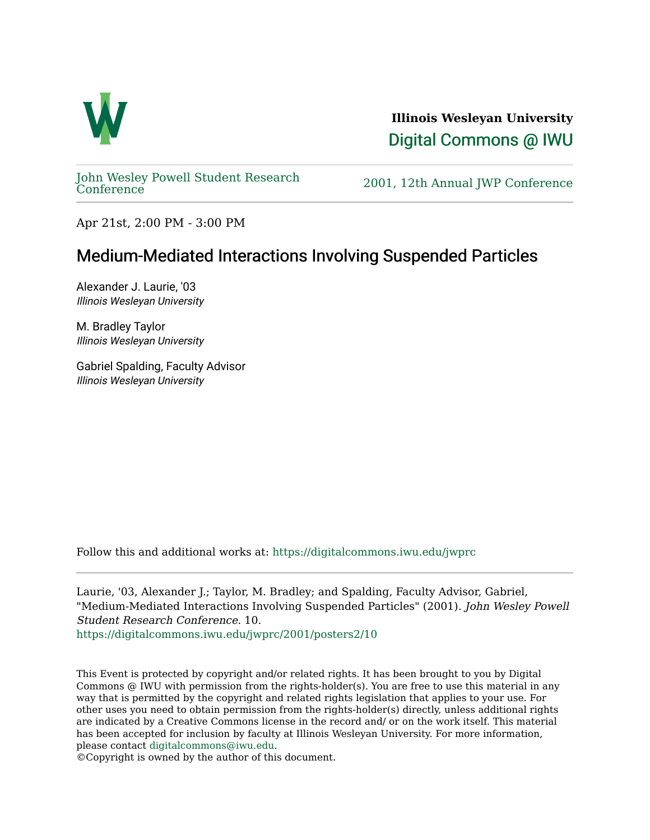

**Illinois Wesleyan University**  [Digital Commons @ IWU](https://digitalcommons.iwu.edu/) 

[John Wesley Powell Student Research](https://digitalcommons.iwu.edu/jwprc) 

2001, 12th Annual JWP [Conference](https://digitalcommons.iwu.edu/jwprc)

Apr 21st, 2:00 PM - 3:00 PM

## Medium-Mediated Interactions Involving Suspended Particles

Alexander J. Laurie, '03 Illinois Wesleyan University

M. Bradley Taylor Illinois Wesleyan University

Gabriel Spalding, Faculty Advisor Illinois Wesleyan University

Follow this and additional works at: [https://digitalcommons.iwu.edu/jwprc](https://digitalcommons.iwu.edu/jwprc?utm_source=digitalcommons.iwu.edu%2Fjwprc%2F2001%2Fposters2%2F10&utm_medium=PDF&utm_campaign=PDFCoverPages) 

Laurie, '03, Alexander J.; Taylor, M. Bradley; and Spalding, Faculty Advisor, Gabriel, "Medium-Mediated Interactions Involving Suspended Particles" (2001). John Wesley Powell Student Research Conference. 10. [https://digitalcommons.iwu.edu/jwprc/2001/posters2/10](https://digitalcommons.iwu.edu/jwprc/2001/posters2/10?utm_source=digitalcommons.iwu.edu%2Fjwprc%2F2001%2Fposters2%2F10&utm_medium=PDF&utm_campaign=PDFCoverPages) 

This Event is protected by copyright and/or related rights. It has been brought to you by Digital Commons @ IWU with permission from the rights-holder(s). You are free to use this material in any way that is permitted by the copyright and related rights legislation that applies to your use. For other uses you need to obtain permission from the rights-holder(s) directly, unless additional rights are indicated by a Creative Commons license in the record and/ or on the work itself. This material has been accepted for inclusion by faculty at Illinois Wesleyan University. For more information, please contact [digitalcommons@iwu.edu.](mailto:digitalcommons@iwu.edu)

©Copyright is owned by the author of this document.